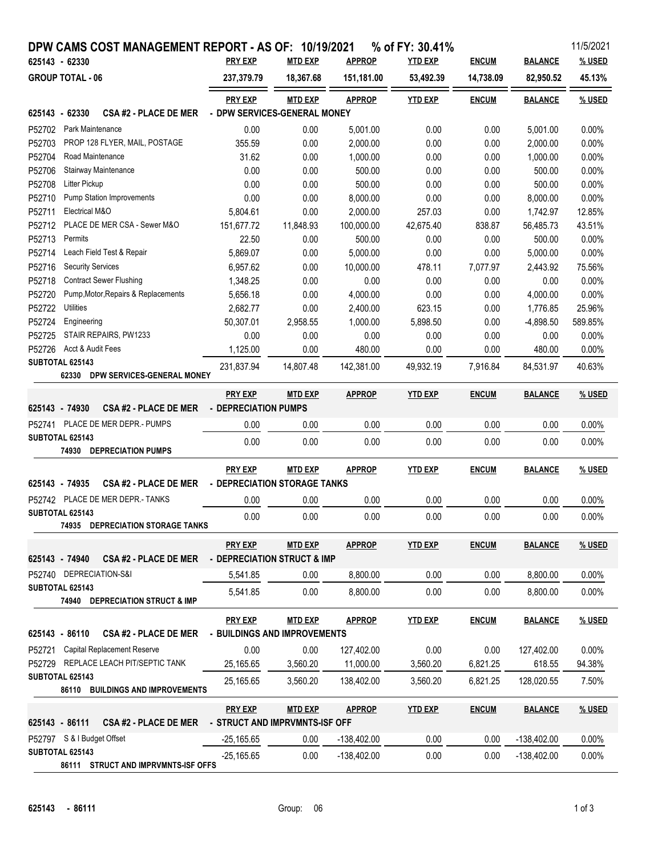| 11/5/2021<br>DPW CAMS COST MANAGEMENT REPORT - AS OF: 10/19/2021<br>% of FY: 30.41% |                                                         |                                                  |                |               |                |              |                |         |  |  |  |
|-------------------------------------------------------------------------------------|---------------------------------------------------------|--------------------------------------------------|----------------|---------------|----------------|--------------|----------------|---------|--|--|--|
|                                                                                     | 625143 - 62330                                          | <b>PRY EXP</b>                                   | <b>MTD EXP</b> | <b>APPROP</b> | <b>YTD EXP</b> | <b>ENCUM</b> | <b>BALANCE</b> | % USED  |  |  |  |
| <b>GROUP TOTAL - 06</b>                                                             |                                                         | 237,379.79                                       | 18,367.68      | 151,181.00    | 53,492.39      | 14,738.09    | 82,950.52      | 45.13%  |  |  |  |
|                                                                                     |                                                         | <b>PRY EXP</b>                                   | <b>MTD EXP</b> | <b>APPROP</b> | <b>YTD EXP</b> | <b>ENCUM</b> | <b>BALANCE</b> | % USED  |  |  |  |
| - DPW SERVICES-GENERAL MONEY<br>625143 - 62330<br><b>CSA #2 - PLACE DE MER</b>      |                                                         |                                                  |                |               |                |              |                |         |  |  |  |
| P52702                                                                              | Park Maintenance                                        | 0.00                                             | 0.00           | 5,001.00      | 0.00           | 0.00         | 5,001.00       | 0.00%   |  |  |  |
| P52703                                                                              | PROP 128 FLYER, MAIL, POSTAGE                           | 355.59                                           | 0.00           | 2,000.00      | 0.00           | 0.00         | 2,000.00       | 0.00%   |  |  |  |
| P52704                                                                              | Road Maintenance                                        | 31.62                                            | 0.00           | 1,000.00      | 0.00           | 0.00         | 1,000.00       | 0.00%   |  |  |  |
| P52706                                                                              | Stairway Maintenance                                    | 0.00                                             | 0.00           | 500.00        | 0.00           | 0.00         | 500.00         | 0.00%   |  |  |  |
| P52708                                                                              | Litter Pickup                                           | 0.00                                             | 0.00           | 500.00        | 0.00           | 0.00         | 500.00         | 0.00%   |  |  |  |
| P52710                                                                              | <b>Pump Station Improvements</b>                        | 0.00                                             | 0.00           | 8,000.00      | 0.00           | 0.00         | 8,000.00       | 0.00%   |  |  |  |
| P52711                                                                              | Electrical M&O                                          | 5,804.61                                         | 0.00           | 2,000.00      | 257.03         | 0.00         | 1,742.97       | 12.85%  |  |  |  |
| P52712                                                                              | PLACE DE MER CSA - Sewer M&O                            | 151,677.72                                       | 11,848.93      | 100,000.00    | 42,675.40      | 838.87       | 56,485.73      | 43.51%  |  |  |  |
| P52713                                                                              | Permits                                                 | 22.50                                            | 0.00           | 500.00        | 0.00           | 0.00         | 500.00         | 0.00%   |  |  |  |
| P52714                                                                              | Leach Field Test & Repair                               | 5,869.07                                         | 0.00           | 5,000.00      | 0.00           | 0.00         | 5,000.00       | 0.00%   |  |  |  |
| P52716                                                                              | <b>Security Services</b>                                | 6,957.62                                         | 0.00           | 10,000.00     | 478.11         | 7,077.97     | 2.443.92       | 75.56%  |  |  |  |
| P52718                                                                              | <b>Contract Sewer Flushing</b>                          | 1,348.25                                         | 0.00           | 0.00          | 0.00           | 0.00         | 0.00           | 0.00%   |  |  |  |
| P52720                                                                              | Pump, Motor, Repairs & Replacements                     | 5,656.18                                         | 0.00           | 4,000.00      | 0.00           | 0.00         | 4,000.00       | 0.00%   |  |  |  |
| P52722                                                                              | Utilities                                               | 2,682.77                                         | 0.00           | 2,400.00      | 623.15         | 0.00         | 1,776.85       | 25.96%  |  |  |  |
| P52724                                                                              | Engineering                                             | 50,307.01                                        | 2,958.55       | 1,000.00      | 5,898.50       | 0.00         | $-4,898.50$    | 589.85% |  |  |  |
| P52725                                                                              | STAIR REPAIRS, PW1233                                   | 0.00                                             | 0.00           | 0.00          | 0.00           | 0.00         | 0.00           | 0.00%   |  |  |  |
| P52726                                                                              | Acct & Audit Fees                                       | 1,125.00                                         | 0.00           | 480.00        | 0.00           | 0.00         | 480.00         | 0.00%   |  |  |  |
|                                                                                     | SUBTOTAL 625143                                         | 231,837.94                                       | 14,807.48      | 142,381.00    | 49,932.19      | 7,916.84     | 84,531.97      | 40.63%  |  |  |  |
|                                                                                     | DPW SERVICES-GENERAL MONEY<br>62330                     |                                                  |                |               |                |              |                |         |  |  |  |
|                                                                                     |                                                         | <b>PRY EXP</b>                                   | <b>MTD EXP</b> | <b>APPROP</b> | <b>YTD EXP</b> | <b>ENCUM</b> | <b>BALANCE</b> | % USED  |  |  |  |
|                                                                                     | <b>CSA #2 - PLACE DE MER</b><br>625143 - 74930          | - DEPRECIATION PUMPS                             |                |               |                |              |                |         |  |  |  |
|                                                                                     | P52741 PLACE DE MER DEPR.- PUMPS                        | 0.00                                             | 0.00           | 0.00          | 0.00           | 0.00         | 0.00           | 0.00%   |  |  |  |
|                                                                                     | SUBTOTAL 625143                                         |                                                  |                |               |                |              |                |         |  |  |  |
|                                                                                     | <b>DEPRECIATION PUMPS</b><br>74930                      | 0.00                                             | 0.00           | 0.00          | 0.00           | 0.00         | 0.00           | 0.00%   |  |  |  |
|                                                                                     |                                                         | <b>PRY EXP</b>                                   | <b>MTD EXP</b> | <b>APPROP</b> | <b>YTD EXP</b> | <b>ENCUM</b> | <b>BALANCE</b> | % USED  |  |  |  |
|                                                                                     | 625143 - 74935<br><b>CSA #2 - PLACE DE MER</b>          | - DEPRECIATION STORAGE TANKS                     |                |               |                |              |                |         |  |  |  |
|                                                                                     | P52742 PLACE DE MER DEPR.- TANKS                        | 0.00                                             | 0.00           | 0.00          | 0.00           | 0.00         | 0.00           | 0.00%   |  |  |  |
|                                                                                     | <b>SUBTOTAL 625143</b>                                  |                                                  |                |               |                |              |                |         |  |  |  |
|                                                                                     | 74935<br>DEPRECIATION STORAGE TANKS                     | 0.00                                             | 0.00           | 0.00          | 0.00           | 0.00         | 0.00           | 0.00%   |  |  |  |
|                                                                                     |                                                         | <b>PRY EXP</b>                                   | <b>MTD EXP</b> | <b>APPROP</b> | <b>YTD EXP</b> | <b>ENCUM</b> | <b>BALANCE</b> | % USED  |  |  |  |
|                                                                                     | 625143 - 74940<br><b>CSA #2 - PLACE DE MER</b>          | - DEPRECIATION STRUCT & IMP                      |                |               |                |              |                |         |  |  |  |
|                                                                                     | P52740 DEPRECIATION-S&I                                 | 5,541.85                                         | 0.00           | 8,800.00      | 0.00           | 0.00         | 8,800.00       | 0.00%   |  |  |  |
|                                                                                     | SUBTOTAL 625143                                         |                                                  |                |               |                |              |                |         |  |  |  |
|                                                                                     | 74940 DEPRECIATION STRUCT & IMP                         | 5,541.85                                         | 0.00           | 8,800.00      | 0.00           | 0.00         | 8,800.00       | 0.00%   |  |  |  |
|                                                                                     |                                                         | <b>PRY EXP</b>                                   | <b>MTD EXP</b> | <b>APPROP</b> | <b>YTD EXP</b> | <b>ENCUM</b> | <b>BALANCE</b> | % USED  |  |  |  |
|                                                                                     | 625143 - 86110<br><b>CSA #2 - PLACE DE MER</b>          | - BUILDINGS AND IMPROVEMENTS                     |                |               |                |              |                |         |  |  |  |
|                                                                                     | <b>Capital Replacement Reserve</b>                      | 0.00                                             | 0.00           | 127,402.00    | 0.00           | 0.00         |                | 0.00%   |  |  |  |
| P52721                                                                              |                                                         |                                                  |                |               |                |              | 127,402.00     |         |  |  |  |
|                                                                                     | P52729 REPLACE LEACH PIT/SEPTIC TANK<br>SUBTOTAL 625143 | 25,165.65                                        | 3,560.20       | 11,000.00     | 3,560.20       | 6,821.25     | 618.55         | 94.38%  |  |  |  |
|                                                                                     | 86110 BUILDINGS AND IMPROVEMENTS                        | 25,165.65                                        | 3,560.20       | 138,402.00    | 3,560.20       | 6,821.25     | 128,020.55     | 7.50%   |  |  |  |
|                                                                                     |                                                         |                                                  |                |               |                |              |                |         |  |  |  |
|                                                                                     | 625143 - 86111<br><b>CSA #2 - PLACE DE MER</b>          | <b>PRY EXP</b><br>- STRUCT AND IMPRVMNTS-ISF OFF | <b>MTD EXP</b> | <b>APPROP</b> | <b>YTD EXP</b> | <b>ENCUM</b> | <b>BALANCE</b> | % USED  |  |  |  |
|                                                                                     |                                                         |                                                  |                |               |                |              |                |         |  |  |  |
|                                                                                     | P52797 S & I Budget Offset                              | $-25,165.65$                                     | 0.00           | $-138,402.00$ | 0.00           | 0.00         | -138,402.00    | 0.00%   |  |  |  |
|                                                                                     | SUBTOTAL 625143<br>86111 STRUCT AND IMPRVMNTS-ISF OFFS  | $-25,165.65$                                     | 0.00           | $-138,402.00$ | 0.00           | 0.00         | -138,402.00    | 0.00%   |  |  |  |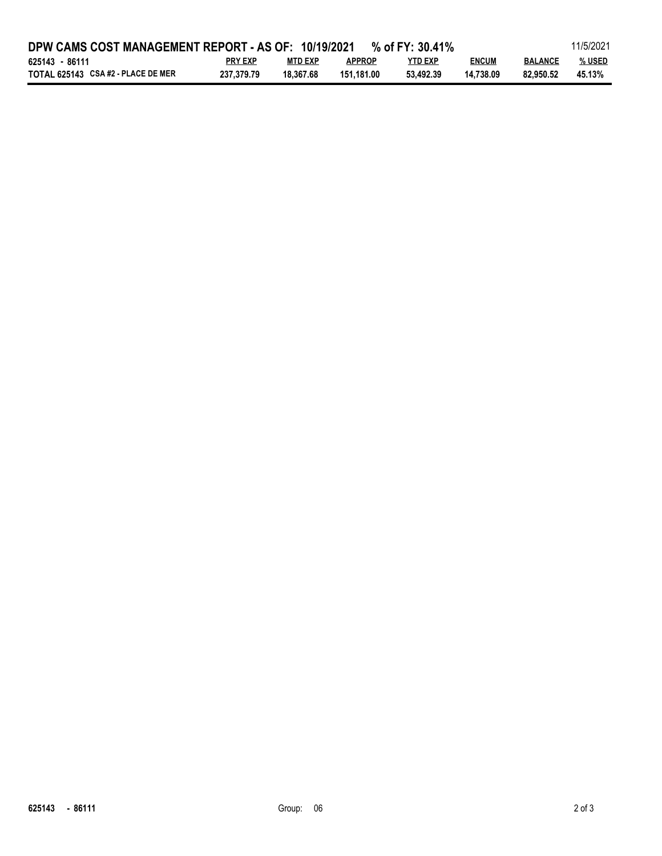| 11/5/2021<br>DPW CAMS COST MANAGEMENT REPORT - AS OF: 10/19/2021<br>% of FY: $30.41\%$ |                |           |               |           |              |                |        |  |
|----------------------------------------------------------------------------------------|----------------|-----------|---------------|-----------|--------------|----------------|--------|--|
| 625143 - 86111                                                                         | <b>PRY EXP</b> | MTD EXP   | <b>APPROP</b> | YTD EXP   | <b>ENCUM</b> | <b>BALANCE</b> | % USED |  |
| TOTAL 625143 CSA #2 - PLACE DE MER                                                     | 237.379.79     | 18.367.68 | 151.181.00    | 53.492.39 | 14.738.09    | 82.950.52      | 45.13% |  |